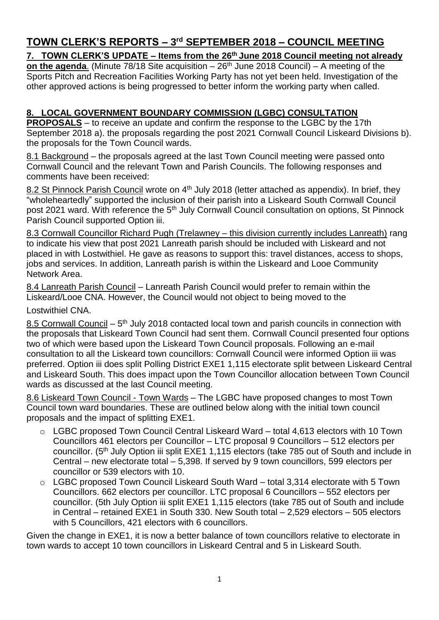# **TOWN CLERK'S REPORTS – 3 rd SEPTEMBER 2018 – COUNCIL MEETING**

# **7. TOWN CLERK'S UPDATE – Items from the 26 th June 2018 Council meeting not already**

**on the agenda.** (Minute 78/18 Site acquisition – 26<sup>th</sup> June 2018 Council) – A meeting of the Sports Pitch and Recreation Facilities Working Party has not yet been held. Investigation of the other approved actions is being progressed to better inform the working party when called.

# **8. LOCAL GOVERNMENT BOUNDARY COMMISSION (LGBC) CONSULTATION**

**PROPOSALS** – to receive an update and confirm the response to the LGBC by the 17th September 2018 a). the proposals regarding the post 2021 Cornwall Council Liskeard Divisions b). the proposals for the Town Council wards.

8.1 Background – the proposals agreed at the last Town Council meeting were passed onto Cornwall Council and the relevant Town and Parish Councils. The following responses and comments have been received:

8.2 St Pinnock Parish Council wrote on 4<sup>th</sup> July 2018 (letter attached as appendix). In brief, they "wholeheartedly" supported the inclusion of their parish into a Liskeard South Cornwall Council post 2021 ward. With reference the 5<sup>th</sup> July Cornwall Council consultation on options, St Pinnock Parish Council supported Option iii.

8.3 Cornwall Councillor Richard Pugh (Trelawney – this division currently includes Lanreath) rang to indicate his view that post 2021 Lanreath parish should be included with Liskeard and not placed in with Lostwithiel. He gave as reasons to support this: travel distances, access to shops, jobs and services. In addition, Lanreath parish is within the Liskeard and Looe Community Network Area.

8.4 Lanreath Parish Council – Lanreath Parish Council would prefer to remain within the Liskeard/Looe CNA. However, the Council would not object to being moved to the

Lostwithiel CNA.

8.5 Cornwall Council - 5<sup>th</sup> July 2018 contacted local town and parish councils in connection with the proposals that Liskeard Town Council had sent them. Cornwall Council presented four options two of which were based upon the Liskeard Town Council proposals. Following an e-mail consultation to all the Liskeard town councillors: Cornwall Council were informed Option iii was preferred. Option iii does split Polling District EXE1 1,115 electorate split between Liskeard Central and Liskeard South. This does impact upon the Town Councillor allocation between Town Council wards as discussed at the last Council meeting.

8.6 Liskeard Town Council - Town Wards – The LGBC have proposed changes to most Town Council town ward boundaries. These are outlined below along with the initial town council proposals and the impact of splitting EXE1.

- o LGBC proposed Town Council Central Liskeard Ward total 4,613 electors with 10 Town Councillors 461 electors per Councillor – LTC proposal 9 Councillors – 512 electors per councillor. (5<sup>th</sup> July Option iii split EXE1 1,115 electors (take 785 out of South and include in Central – new electorate total – 5,398. If served by 9 town councillors, 599 electors per councillor or 539 electors with 10.
- o LGBC proposed Town Council Liskeard South Ward total 3,314 electorate with 5 Town Councillors. 662 electors per councillor. LTC proposal 6 Councillors – 552 electors per councillor. (5th July Option iii split EXE1 1,115 electors (take 785 out of South and include in Central – retained EXE1 in South 330. New South total – 2,529 electors – 505 electors with 5 Councillors, 421 electors with 6 councillors.

Given the change in EXE1, it is now a better balance of town councillors relative to electorate in town wards to accept 10 town councillors in Liskeard Central and 5 in Liskeard South.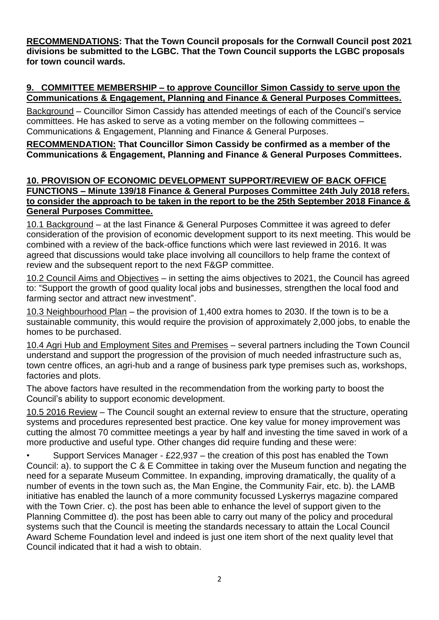**RECOMMENDATIONS: That the Town Council proposals for the Cornwall Council post 2021 divisions be submitted to the LGBC. That the Town Council supports the LGBC proposals for town council wards.** 

#### **9. COMMITTEE MEMBERSHIP – to approve Councillor Simon Cassidy to serve upon the Communications & Engagement, Planning and Finance & General Purposes Committees.**

Background – Councillor Simon Cassidy has attended meetings of each of the Council's service committees. He has asked to serve as a voting member on the following committees – Communications & Engagement, Planning and Finance & General Purposes.

**RECOMMENDATION: That Councillor Simon Cassidy be confirmed as a member of the Communications & Engagement, Planning and Finance & General Purposes Committees.**

#### **10. PROVISION OF ECONOMIC DEVELOPMENT SUPPORT/REVIEW OF BACK OFFICE FUNCTIONS – Minute 139/18 Finance & General Purposes Committee 24th July 2018 refers. to consider the approach to be taken in the report to be the 25th September 2018 Finance & General Purposes Committee.**

10.1 Background – at the last Finance & General Purposes Committee it was agreed to defer consideration of the provision of economic development support to its next meeting. This would be combined with a review of the back-office functions which were last reviewed in 2016. It was agreed that discussions would take place involving all councillors to help frame the context of review and the subsequent report to the next F&GP committee.

10.2 Council Aims and Objectives – in setting the aims objectives to 2021, the Council has agreed to: "Support the growth of good quality local jobs and businesses, strengthen the local food and farming sector and attract new investment".

10.3 Neighbourhood Plan – the provision of 1,400 extra homes to 2030. If the town is to be a sustainable community, this would require the provision of approximately 2,000 jobs, to enable the homes to be purchased.

10.4 Agri Hub and Employment Sites and Premises – several partners including the Town Council understand and support the progression of the provision of much needed infrastructure such as, town centre offices, an agri-hub and a range of business park type premises such as, workshops, factories and plots.

The above factors have resulted in the recommendation from the working party to boost the Council's ability to support economic development.

10.5 2016 Review – The Council sought an external review to ensure that the structure, operating systems and procedures represented best practice. One key value for money improvement was cutting the almost 70 committee meetings a year by half and investing the time saved in work of a more productive and useful type. Other changes did require funding and these were:

• Support Services Manager - £22,937 – the creation of this post has enabled the Town Council: a). to support the C & E Committee in taking over the Museum function and negating the need for a separate Museum Committee. In expanding, improving dramatically, the quality of a number of events in the town such as, the Man Engine, the Community Fair, etc. b). the LAMB initiative has enabled the launch of a more community focussed Lyskerrys magazine compared with the Town Crier. c). the post has been able to enhance the level of support given to the Planning Committee d). the post has been able to carry out many of the policy and procedural systems such that the Council is meeting the standards necessary to attain the Local Council Award Scheme Foundation level and indeed is just one item short of the next quality level that Council indicated that it had a wish to obtain.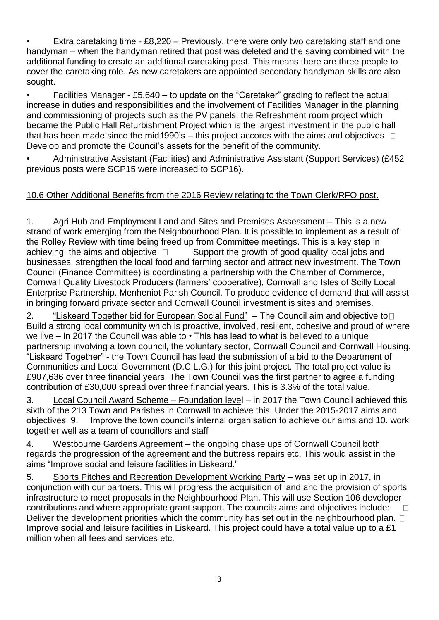Extra caretaking time  $-$  £8,220 – Previously, there were only two caretaking staff and one handyman – when the handyman retired that post was deleted and the saving combined with the additional funding to create an additional caretaking post. This means there are three people to cover the caretaking role. As new caretakers are appointed secondary handyman skills are also sought.

• Facilities Manager - £5,640 – to update on the "Caretaker" grading to reflect the actual increase in duties and responsibilities and the involvement of Facilities Manager in the planning and commissioning of projects such as the PV panels, the Refreshment room project which became the Public Hall Refurbishment Project which is the largest investment in the public hall that has been made since the mid1990's – this project accords with the aims and objectives  $\Box$ Develop and promote the Council's assets for the benefit of the community.

• Administrative Assistant (Facilities) and Administrative Assistant (Support Services) (£452 previous posts were SCP15 were increased to SCP16).

# 10.6 Other Additional Benefits from the 2016 Review relating to the Town Clerk/RFO post.

1. Agri Hub and Employment Land and Sites and Premises Assessment - This is a new strand of work emerging from the Neighbourhood Plan. It is possible to implement as a result of the Rolley Review with time being freed up from Committee meetings. This is a key step in achieving the aims and objective  $\Box$  Support the growth of good quality local jobs and businesses, strengthen the local food and farming sector and attract new investment. The Town Council (Finance Committee) is coordinating a partnership with the Chamber of Commerce, Cornwall Quality Livestock Producers (farmers' cooperative), Cornwall and Isles of Scilly Local Enterprise Partnership. Menheniot Parish Council. To produce evidence of demand that will assist in bringing forward private sector and Cornwall Council investment is sites and premises.

2. "Liskeard Together bid for European Social Fund" – The Council aim and objective to□ Build a strong local community which is proactive, involved, resilient, cohesive and proud of where we live – in 2017 the Council was able to • This has lead to what is believed to a unique partnership involving a town council, the voluntary sector, Cornwall Council and Cornwall Housing. "Liskeard Together" - the Town Council has lead the submission of a bid to the Department of Communities and Local Government (D.C.L.G.) for this joint project. The total project value is £907,636 over three financial years. The Town Council was the first partner to agree a funding contribution of £30,000 spread over three financial years. This is 3.3% of the total value.

3. Local Council Award Scheme – Foundation level – in 2017 the Town Council achieved this sixth of the 213 Town and Parishes in Cornwall to achieve this. Under the 2015-2017 aims and objectives 9. Improve the town council's internal organisation to achieve our aims and 10. work together well as a team of councillors and staff

4. Westbourne Gardens Agreement – the ongoing chase ups of Cornwall Council both regards the progression of the agreement and the buttress repairs etc. This would assist in the aims "Improve social and leisure facilities in Liskeard."

5. Sports Pitches and Recreation Development Working Party – was set up in 2017, in conjunction with our partners. This will progress the acquisition of land and the provision of sports infrastructure to meet proposals in the Neighbourhood Plan. This will use Section 106 developer contributions and where appropriate grant support. The councils aims and objectives include:  $\Box$ Deliver the development priorities which the community has set out in the neighbourhood plan.  $\Box$ Improve social and leisure facilities in Liskeard. This project could have a total value up to a £1 million when all fees and services etc.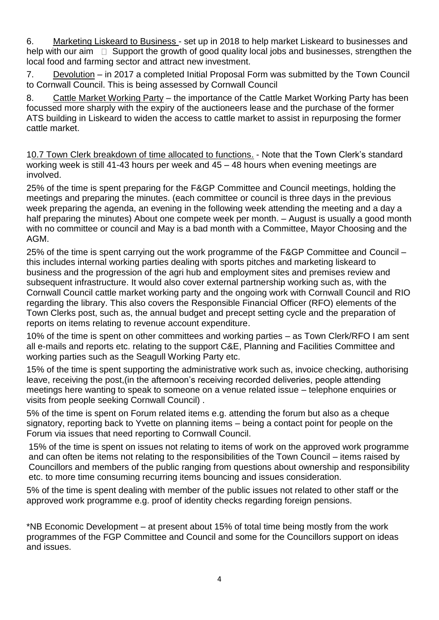6. Marketing Liskeard to Business - set up in 2018 to help market Liskeard to businesses and help with our aim  $\Box$  Support the growth of good quality local jobs and businesses, strengthen the local food and farming sector and attract new investment.

7. Devolution – in 2017 a completed Initial Proposal Form was submitted by the Town Council to Cornwall Council. This is being assessed by Cornwall Council

8. Cattle Market Working Party – the importance of the Cattle Market Working Party has been focussed more sharply with the expiry of the auctioneers lease and the purchase of the former ATS building in Liskeard to widen the access to cattle market to assist in repurposing the former cattle market.

10.7 Town Clerk breakdown of time allocated to functions. - Note that the Town Clerk's standard working week is still 41-43 hours per week and 45 – 48 hours when evening meetings are involved.

25% of the time is spent preparing for the F&GP Committee and Council meetings, holding the meetings and preparing the minutes. (each committee or council is three days in the previous week preparing the agenda, an evening in the following week attending the meeting and a day a half preparing the minutes) About one compete week per month. – August is usually a good month with no committee or council and May is a bad month with a Committee, Mayor Choosing and the AGM.

25% of the time is spent carrying out the work programme of the F&GP Committee and Council – this includes internal working parties dealing with sports pitches and marketing liskeard to business and the progression of the agri hub and employment sites and premises review and subsequent infrastructure. It would also cover external partnership working such as, with the Cornwall Council cattle market working party and the ongoing work with Cornwall Council and RIO regarding the library. This also covers the Responsible Financial Officer (RFO) elements of the Town Clerks post, such as, the annual budget and precept setting cycle and the preparation of reports on items relating to revenue account expenditure.

10% of the time is spent on other committees and working parties – as Town Clerk/RFO I am sent all e-mails and reports etc. relating to the support C&E, Planning and Facilities Committee and working parties such as the Seagull Working Party etc.

15% of the time is spent supporting the administrative work such as, invoice checking, authorising leave, receiving the post,(in the afternoon's receiving recorded deliveries, people attending meetings here wanting to speak to someone on a venue related issue – telephone enquiries or visits from people seeking Cornwall Council) .

5% of the time is spent on Forum related items e.g. attending the forum but also as a cheque signatory, reporting back to Yvette on planning items – being a contact point for people on the Forum via issues that need reporting to Cornwall Council.

15% of the time is spent on issues not relating to items of work on the approved work programme and can often be items not relating to the responsibilities of the Town Council – items raised by Councillors and members of the public ranging from questions about ownership and responsibility etc. to more time consuming recurring items bouncing and issues consideration.

5% of the time is spent dealing with member of the public issues not related to other staff or the approved work programme e.g. proof of identity checks regarding foreign pensions.

\*NB Economic Development – at present about 15% of total time being mostly from the work programmes of the FGP Committee and Council and some for the Councillors support on ideas and issues.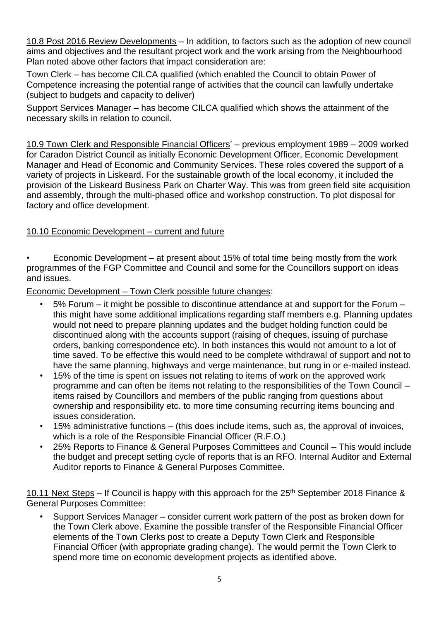10.8 Post 2016 Review Developments – In addition, to factors such as the adoption of new council aims and objectives and the resultant project work and the work arising from the Neighbourhood Plan noted above other factors that impact consideration are:

Town Clerk – has become CILCA qualified (which enabled the Council to obtain Power of Competence increasing the potential range of activities that the council can lawfully undertake (subject to budgets and capacity to deliver)

Support Services Manager – has become CILCA qualified which shows the attainment of the necessary skills in relation to council.

10.9 Town Clerk and Responsible Financial Officers' – previous employment 1989 – 2009 worked for Caradon District Council as initially Economic Development Officer, Economic Development Manager and Head of Economic and Community Services. These roles covered the support of a variety of projects in Liskeard. For the sustainable growth of the local economy, it included the provision of the Liskeard Business Park on Charter Way. This was from green field site acquisition and assembly, through the multi-phased office and workshop construction. To plot disposal for factory and office development.

## 10.10 Economic Development – current and future

• Economic Development – at present about 15% of total time being mostly from the work programmes of the FGP Committee and Council and some for the Councillors support on ideas and issues.

Economic Development – Town Clerk possible future changes:

- 5% Forum it might be possible to discontinue attendance at and support for the Forum this might have some additional implications regarding staff members e.g. Planning updates would not need to prepare planning updates and the budget holding function could be discontinued along with the accounts support (raising of cheques, issuing of purchase orders, banking correspondence etc). In both instances this would not amount to a lot of time saved. To be effective this would need to be complete withdrawal of support and not to have the same planning, highways and verge maintenance, but rung in or e-mailed instead.
- 15% of the time is spent on issues not relating to items of work on the approved work programme and can often be items not relating to the responsibilities of the Town Council – items raised by Councillors and members of the public ranging from questions about ownership and responsibility etc. to more time consuming recurring items bouncing and issues consideration.
- 15% administrative functions (this does include items, such as, the approval of invoices, which is a role of the Responsible Financial Officer (R.F.O.)
- 25% Reports to Finance & General Purposes Committees and Council This would include the budget and precept setting cycle of reports that is an RFO. Internal Auditor and External Auditor reports to Finance & General Purposes Committee.

10.11 Next Steps – If Council is happy with this approach for the  $25<sup>th</sup>$  September 2018 Finance & General Purposes Committee:

• Support Services Manager – consider current work pattern of the post as broken down for the Town Clerk above. Examine the possible transfer of the Responsible Financial Officer elements of the Town Clerks post to create a Deputy Town Clerk and Responsible Financial Officer (with appropriate grading change). The would permit the Town Clerk to spend more time on economic development projects as identified above.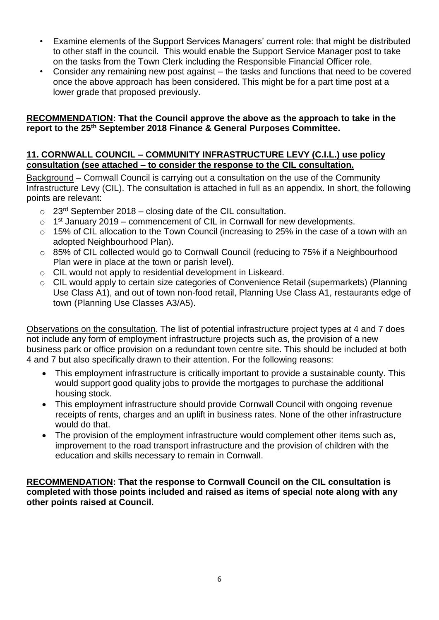- Examine elements of the Support Services Managers' current role: that might be distributed to other staff in the council. This would enable the Support Service Manager post to take on the tasks from the Town Clerk including the Responsible Financial Officer role.
- Consider any remaining new post against the tasks and functions that need to be covered once the above approach has been considered. This might be for a part time post at a lower grade that proposed previously.

#### **RECOMMENDATION: That the Council approve the above as the approach to take in the report to the 25th September 2018 Finance & General Purposes Committee.**

#### **11. CORNWALL COUNCIL – COMMUNITY INFRASTRUCTURE LEVY (C.I.L.) use policy consultation (see attached – to consider the response to the CIL consultation.**

Background – Cornwall Council is carrying out a consultation on the use of the Community Infrastructure Levy (CIL). The consultation is attached in full as an appendix. In short, the following points are relevant:

- $\circ$  23<sup>rd</sup> September 2018 closing date of the CIL consultation.
- $\circ$  1<sup>st</sup> January 2019 commencement of CIL in Cornwall for new developments.
- o 15% of CIL allocation to the Town Council (increasing to 25% in the case of a town with an adopted Neighbourhood Plan).
- o 85% of CIL collected would go to Cornwall Council (reducing to 75% if a Neighbourhood Plan were in place at the town or parish level).
- o CIL would not apply to residential development in Liskeard.
- o CIL would apply to certain size categories of Convenience Retail (supermarkets) (Planning Use Class A1), and out of town non-food retail, Planning Use Class A1, restaurants edge of town (Planning Use Classes A3/A5).

Observations on the consultation. The list of potential infrastructure project types at 4 and 7 does not include any form of employment infrastructure projects such as, the provision of a new business park or office provision on a redundant town centre site. This should be included at both 4 and 7 but also specifically drawn to their attention. For the following reasons:

- This employment infrastructure is critically important to provide a sustainable county. This would support good quality jobs to provide the mortgages to purchase the additional housing stock.
- This employment infrastructure should provide Cornwall Council with ongoing revenue receipts of rents, charges and an uplift in business rates. None of the other infrastructure would do that.
- The provision of the employment infrastructure would complement other items such as, improvement to the road transport infrastructure and the provision of children with the education and skills necessary to remain in Cornwall.

**RECOMMENDATION: That the response to Cornwall Council on the CIL consultation is completed with those points included and raised as items of special note along with any other points raised at Council.**